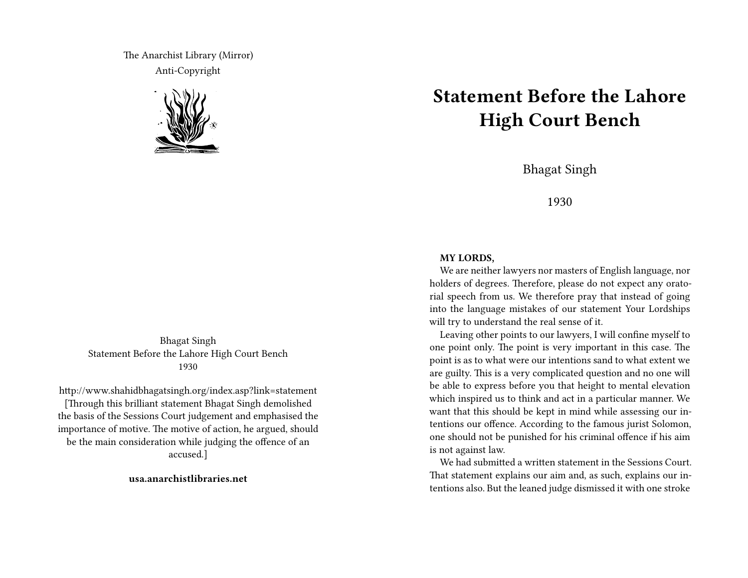The Anarchist Library (Mirror) Anti-Copyright



Bhagat Singh Statement Before the Lahore High Court Bench 1930

http://www.shahidbhagatsingh.org/index.asp?link=statement [Through this brilliant statement Bhagat Singh demolished the basis of the Sessions Court judgement and emphasised the importance of motive. The motive of action, he argued, should be the main consideration while judging the offence of an accused.]

**usa.anarchistlibraries.net**

## **Statement Before the Lahore High Court Bench**

Bhagat Singh

1930

## **MY LORDS,**

We are neither lawyers nor masters of English language, nor holders of degrees. Therefore, please do not expect any oratorial speech from us. We therefore pray that instead of going into the language mistakes of our statement Your Lordships will try to understand the real sense of it.

Leaving other points to our lawyers, I will confine myself to one point only. The point is very important in this case. The point is as to what were our intentions sand to what extent we are guilty. This is a very complicated question and no one will be able to express before you that height to mental elevation which inspired us to think and act in a particular manner. We want that this should be kept in mind while assessing our intentions our offence. According to the famous jurist Solomon, one should not be punished for his criminal offence if his aim is not against law.

We had submitted a written statement in the Sessions Court. That statement explains our aim and, as such, explains our intentions also. But the leaned judge dismissed it with one stroke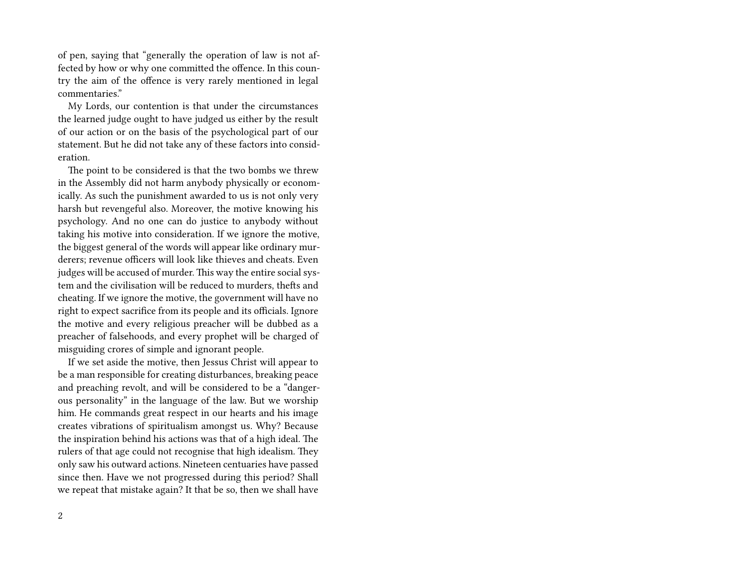of pen, saying that "generally the operation of law is not affected by how or why one committed the offence. In this country the aim of the offence is very rarely mentioned in legal commentaries."

My Lords, our contention is that under the circumstances the learned judge ought to have judged us either by the result of our action or on the basis of the psychological part of our statement. But he did not take any of these factors into consideration.

The point to be considered is that the two bombs we threw in the Assembly did not harm anybody physically or economically. As such the punishment awarded to us is not only very harsh but revengeful also. Moreover, the motive knowing his psychology. And no one can do justice to anybody without taking his motive into consideration. If we ignore the motive, the biggest general of the words will appear like ordinary murderers; revenue officers will look like thieves and cheats. Even judges will be accused of murder. This way the entire social system and the civilisation will be reduced to murders, thefts and cheating. If we ignore the motive, the government will have no right to expect sacrifice from its people and its officials. Ignore the motive and every religious preacher will be dubbed as a preacher of falsehoods, and every prophet will be charged of misguiding crores of simple and ignorant people.

If we set aside the motive, then Jessus Christ will appear to be a man responsible for creating disturbances, breaking peace and preaching revolt, and will be considered to be a "dangerous personality" in the language of the law. But we worship him. He commands great respect in our hearts and his image creates vibrations of spiritualism amongst us. Why? Because the inspiration behind his actions was that of a high ideal. The rulers of that age could not recognise that high idealism. They only saw his outward actions. Nineteen centuaries have passed since then. Have we not progressed during this period? Shall we repeat that mistake again? It that be so, then we shall have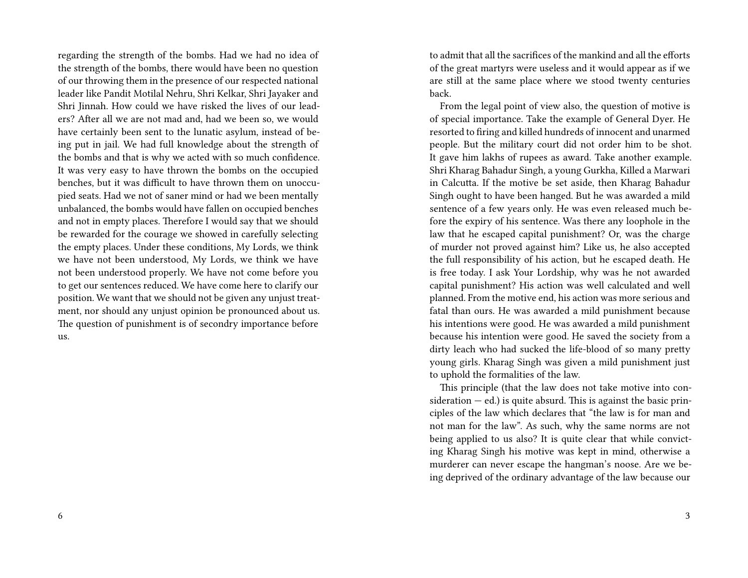regarding the strength of the bombs. Had we had no idea of the strength of the bombs, there would have been no question of our throwing them in the presence of our respected national leader like Pandit Motilal Nehru, Shri Kelkar, Shri Jayaker and Shri Jinnah. How could we have risked the lives of our leaders? After all we are not mad and, had we been so, we would have certainly been sent to the lunatic asylum, instead of being put in jail. We had full knowledge about the strength of the bombs and that is why we acted with so much confidence. It was very easy to have thrown the bombs on the occupied benches, but it was difficult to have thrown them on unoccupied seats. Had we not of saner mind or had we been mentally unbalanced, the bombs would have fallen on occupied benches and not in empty places. Therefore I would say that we should be rewarded for the courage we showed in carefully selecting the empty places. Under these conditions, My Lords, we think we have not been understood, My Lords, we think we have not been understood properly. We have not come before you to get our sentences reduced. We have come here to clarify our position. We want that we should not be given any unjust treatment, nor should any unjust opinion be pronounced about us. The question of punishment is of secondry importance before us.

to admit that all the sacrifices of the mankind and all the efforts of the great martyrs were useless and it would appear as if we are still at the same place where we stood twenty centuries back.

From the legal point of view also, the question of motive is of special importance. Take the example of General Dyer. He resorted to firing and killed hundreds of innocent and unarmed people. But the military court did not order him to be shot. It gave him lakhs of rupees as award. Take another example. Shri Kharag Bahadur Singh, a young Gurkha, Killed a Marwari in Calcutta. If the motive be set aside, then Kharag Bahadur Singh ought to have been hanged. But he was awarded a mild sentence of a few years only. He was even released much before the expiry of his sentence. Was there any loophole in the law that he escaped capital punishment? Or, was the charge of murder not proved against him? Like us, he also accepted the full responsibility of his action, but he escaped death. He is free today. I ask Your Lordship, why was he not awarded capital punishment? His action was well calculated and well planned. From the motive end, his action was more serious and fatal than ours. He was awarded a mild punishment because his intentions were good. He was awarded a mild punishment because his intention were good. He saved the society from a dirty leach who had sucked the life-blood of so many pretty young girls. Kharag Singh was given a mild punishment just to uphold the formalities of the law.

This principle (that the law does not take motive into consideration  $-$  ed.) is quite absurd. This is against the basic principles of the law which declares that "the law is for man and not man for the law". As such, why the same norms are not being applied to us also? It is quite clear that while convicting Kharag Singh his motive was kept in mind, otherwise a murderer can never escape the hangman's noose. Are we being deprived of the ordinary advantage of the law because our